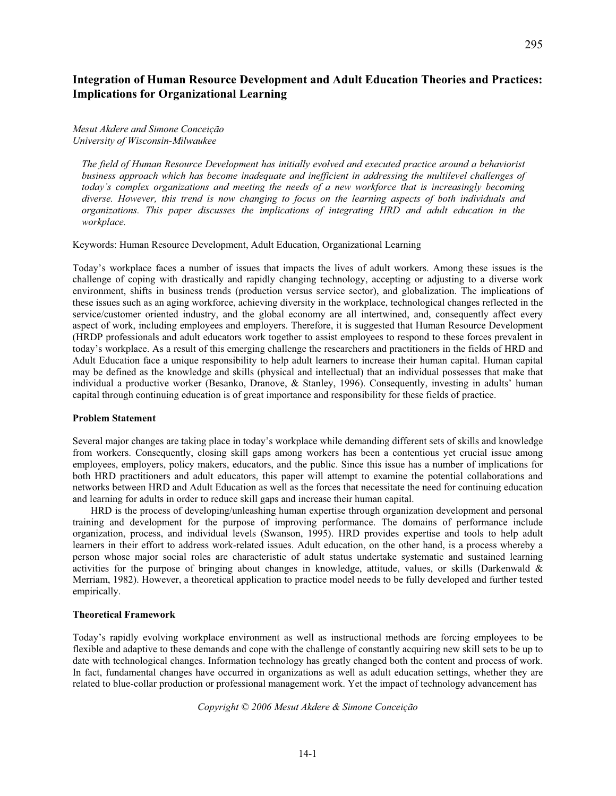# **Integration of Human Resource Development and Adult Education Theories and Practices: Implications for Organizational Learning**

# *Mesut Akdere and Simone Conceição University of Wisconsin-Milwaukee*

*The field of Human Resource Development has initially evolved and executed practice around a behaviorist business approach which has become inadequate and inefficient in addressing the multilevel challenges of today's complex organizations and meeting the needs of a new workforce that is increasingly becoming diverse. However, this trend is now changing to focus on the learning aspects of both individuals and organizations. This paper discusses the implications of integrating HRD and adult education in the workplace.* 

Keywords: Human Resource Development, Adult Education, Organizational Learning

Today's workplace faces a number of issues that impacts the lives of adult workers. Among these issues is the challenge of coping with drastically and rapidly changing technology, accepting or adjusting to a diverse work environment, shifts in business trends (production versus service sector), and globalization. The implications of these issues such as an aging workforce, achieving diversity in the workplace, technological changes reflected in the service/customer oriented industry, and the global economy are all intertwined, and, consequently affect every aspect of work, including employees and employers. Therefore, it is suggested that Human Resource Development (HRDP professionals and adult educators work together to assist employees to respond to these forces prevalent in today's workplace. As a result of this emerging challenge the researchers and practitioners in the fields of HRD and Adult Education face a unique responsibility to help adult learners to increase their human capital. Human capital may be defined as the knowledge and skills (physical and intellectual) that an individual possesses that make that individual a productive worker (Besanko, Dranove, & Stanley, 1996). Consequently, investing in adults' human capital through continuing education is of great importance and responsibility for these fields of practice.

## **Problem Statement**

Several major changes are taking place in today's workplace while demanding different sets of skills and knowledge from workers. Consequently, closing skill gaps among workers has been a contentious yet crucial issue among employees, employers, policy makers, educators, and the public. Since this issue has a number of implications for both HRD practitioners and adult educators, this paper will attempt to examine the potential collaborations and networks between HRD and Adult Education as well as the forces that necessitate the need for continuing education and learning for adults in order to reduce skill gaps and increase their human capital.

HRD is the process of developing/unleashing human expertise through organization development and personal training and development for the purpose of improving performance. The domains of performance include organization, process, and individual levels (Swanson, 1995). HRD provides expertise and tools to help adult learners in their effort to address work-related issues. Adult education, on the other hand, is a process whereby a person whose major social roles are characteristic of adult status undertake systematic and sustained learning activities for the purpose of bringing about changes in knowledge, attitude, values, or skills (Darkenwald & Merriam, 1982). However, a theoretical application to practice model needs to be fully developed and further tested empirically.

## **Theoretical Framework**

Today's rapidly evolving workplace environment as well as instructional methods are forcing employees to be flexible and adaptive to these demands and cope with the challenge of constantly acquiring new skill sets to be up to date with technological changes. Information technology has greatly changed both the content and process of work. In fact, fundamental changes have occurred in organizations as well as adult education settings, whether they are related to blue-collar production or professional management work. Yet the impact of technology advancement has

*Copyright © 2006 Mesut Akdere & Simone Conceição*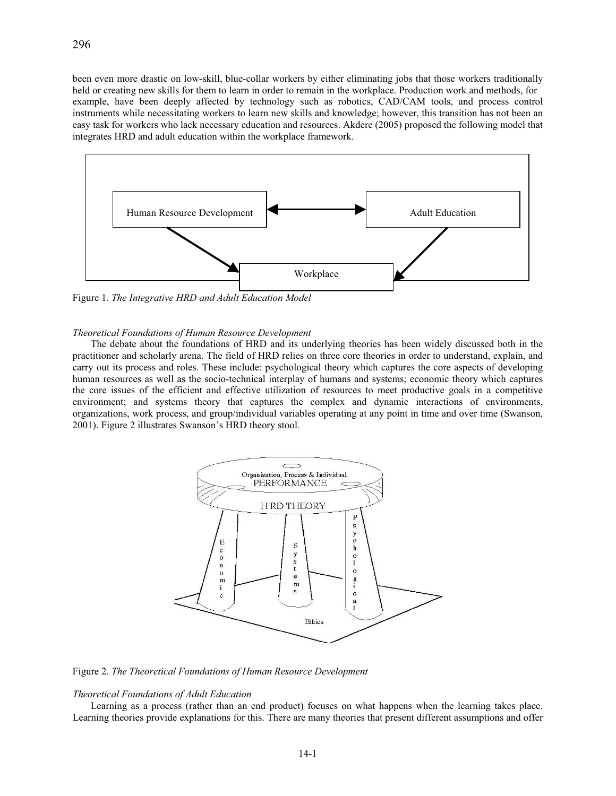been even more drastic on low-skill, blue-collar workers by either eliminating jobs that those workers traditionally held or creating new skills for them to learn in order to remain in the workplace. Production work and methods, for example, have been deeply affected by technology such as robotics, CAD/CAM tools, and process control instruments while necessitating workers to learn new skills and knowledge; however, this transition has not been an easy task for workers who lack necessary education and resources. Akdere (2005) proposed the following model that integrates HRD and adult education within the workplace framework.



Figure 1. *The Integrative HRD and Adult Education Model* 

# *Theoretical Foundations of Human Resource Development*

The debate about the foundations of HRD and its underlying theories has been widely discussed both in the practitioner and scholarly arena. The field of HRD relies on three core theories in order to understand, explain, and carry out its process and roles. These include: psychological theory which captures the core aspects of developing human resources as well as the socio-technical interplay of humans and systems; economic theory which captures the core issues of the efficient and effective utilization of resources to meet productive goals in a competitive environment; and systems theory that captures the complex and dynamic interactions of environments, organizations, work process, and group/individual variables operating at any point in time and over time (Swanson, 2001). Figure 2 illustrates Swanson's HRD theory stool.



Figure 2. *The Theoretical Foundations of Human Resource Development*

## *Theoretical Foundations of Adult Education*

Learning as a process (rather than an end product) focuses on what happens when the learning takes place. Learning theories provide explanations for this. There are many theories that present different assumptions and offer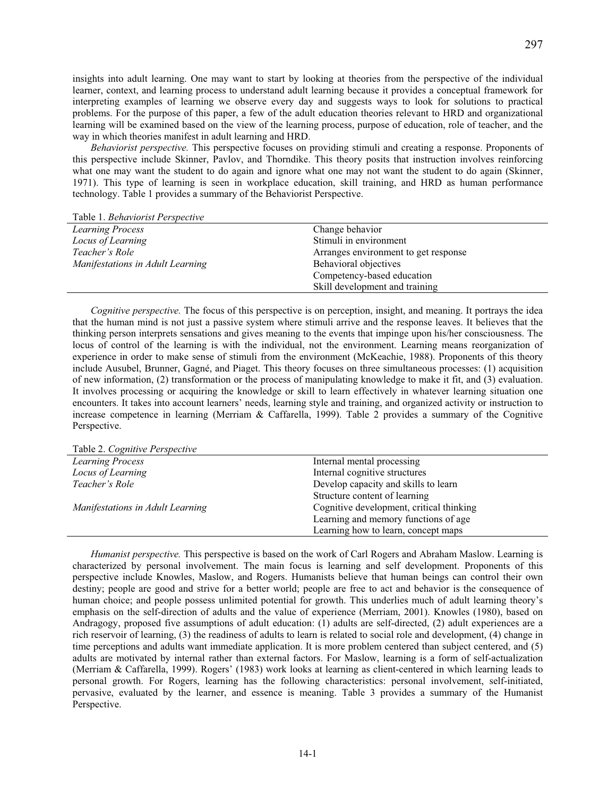insights into adult learning. One may want to start by looking at theories from the perspective of the individual learner, context, and learning process to understand adult learning because it provides a conceptual framework for interpreting examples of learning we observe every day and suggests ways to look for solutions to practical problems. For the purpose of this paper, a few of the adult education theories relevant to HRD and organizational learning will be examined based on the view of the learning process, purpose of education, role of teacher, and the way in which theories manifest in adult learning and HRD.

*Behaviorist perspective.* This perspective focuses on providing stimuli and creating a response. Proponents of this perspective include Skinner, Pavlov, and Thorndike. This theory posits that instruction involves reinforcing what one may want the student to do again and ignore what one may not want the student to do again (Skinner, 1971). This type of learning is seen in workplace education, skill training, and HRD as human performance technology. Table 1 provides a summary of the Behaviorist Perspective.

Table 1. *Behaviorist Perspective*

| <b>Learning Process</b>          | Change behavior                      |
|----------------------------------|--------------------------------------|
| Locus of Learning                | Stimuli in environment               |
| Teacher's Role                   | Arranges environment to get response |
| Manifestations in Adult Learning | Behavioral objectives                |
|                                  | Competency-based education           |
|                                  | Skill development and training       |

*Cognitive perspective.* The focus of this perspective is on perception, insight, and meaning. It portrays the idea that the human mind is not just a passive system where stimuli arrive and the response leaves. It believes that the thinking person interprets sensations and gives meaning to the events that impinge upon his/her consciousness. The locus of control of the learning is with the individual, not the environment. Learning means reorganization of experience in order to make sense of stimuli from the environment (McKeachie, 1988). Proponents of this theory include Ausubel, Brunner, Gagné, and Piaget. This theory focuses on three simultaneous processes: (1) acquisition of new information, (2) transformation or the process of manipulating knowledge to make it fit, and (3) evaluation. It involves processing or acquiring the knowledge or skill to learn effectively in whatever learning situation one encounters. It takes into account learners' needs, learning style and training, and organized activity or instruction to increase competence in learning (Merriam & Caffarella, 1999). Table 2 provides a summary of the Cognitive Perspective.

Table 2. *Cognitive Perspective* 

| <b>Learning Process</b>          | Internal mental processing               |
|----------------------------------|------------------------------------------|
| Locus of Learning                | Internal cognitive structures            |
| Teacher's Role                   | Develop capacity and skills to learn     |
|                                  | Structure content of learning            |
| Manifestations in Adult Learning | Cognitive development, critical thinking |
|                                  | Learning and memory functions of age     |
|                                  | Learning how to learn, concept maps      |

*Humanist perspective.* This perspective is based on the work of Carl Rogers and Abraham Maslow. Learning is characterized by personal involvement. The main focus is learning and self development. Proponents of this perspective include Knowles, Maslow, and Rogers. Humanists believe that human beings can control their own destiny; people are good and strive for a better world; people are free to act and behavior is the consequence of human choice; and people possess unlimited potential for growth. This underlies much of adult learning theory's emphasis on the self-direction of adults and the value of experience (Merriam, 2001). Knowles (1980), based on Andragogy, proposed five assumptions of adult education: (1) adults are self-directed, (2) adult experiences are a rich reservoir of learning, (3) the readiness of adults to learn is related to social role and development, (4) change in time perceptions and adults want immediate application. It is more problem centered than subject centered, and (5) adults are motivated by internal rather than external factors. For Maslow, learning is a form of self-actualization (Merriam & Caffarella, 1999). Rogers' (1983) work looks at learning as client-centered in which learning leads to personal growth. For Rogers, learning has the following characteristics: personal involvement, self-initiated, pervasive, evaluated by the learner, and essence is meaning. Table 3 provides a summary of the Humanist Perspective.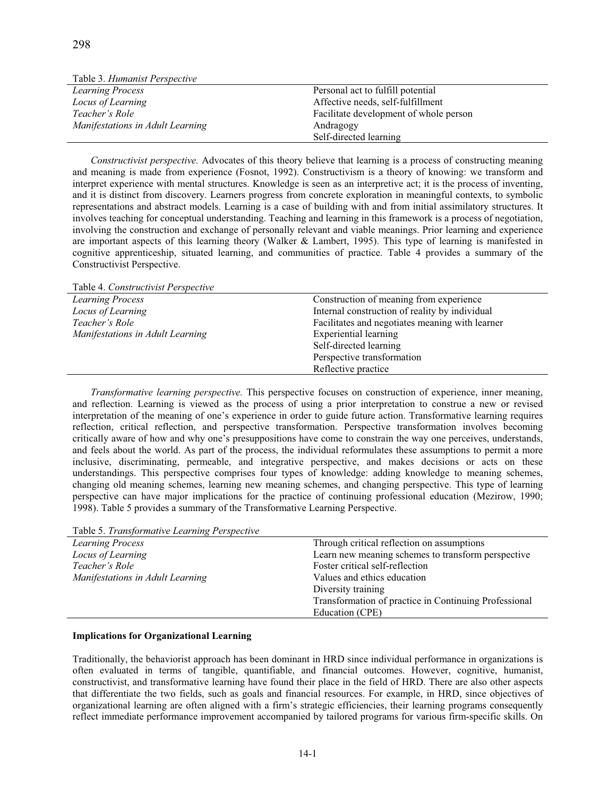| Table 3. Humanist Perspective    |                                        |
|----------------------------------|----------------------------------------|
| <b>Learning Process</b>          | Personal act to fulfill potential      |
| Locus of Learning                | Affective needs, self-fulfillment      |
| Teacher's Role                   | Facilitate development of whole person |
| Manifestations in Adult Learning | Andragogy                              |
|                                  | Self-directed learning                 |

*Constructivist perspective.* Advocates of this theory believe that learning is a process of constructing meaning and meaning is made from experience (Fosnot, 1992). Constructivism is a theory of knowing: we transform and interpret experience with mental structures. Knowledge is seen as an interpretive act; it is the process of inventing, and it is distinct from discovery. Learners progress from concrete exploration in meaningful contexts, to symbolic representations and abstract models. Learning is a case of building with and from initial assimilatory structures. It involves teaching for conceptual understanding. Teaching and learning in this framework is a process of negotiation, involving the construction and exchange of personally relevant and viable meanings. Prior learning and experience are important aspects of this learning theory (Walker & Lambert, 1995). This type of learning is manifested in cognitive apprenticeship, situated learning, and communities of practice. Table 4 provides a summary of the Constructivist Perspective.

| Table 4. Constructivist Perspective |                                                 |
|-------------------------------------|-------------------------------------------------|
| <b>Learning Process</b>             | Construction of meaning from experience         |
| Locus of Learning                   | Internal construction of reality by individual  |
| Teacher's Role                      | Facilitates and negotiates meaning with learner |
| Manifestations in Adult Learning    | <b>Experiential learning</b>                    |
|                                     | Self-directed learning                          |
|                                     | Perspective transformation                      |
|                                     | Reflective practice                             |

*Transformative learning perspective.* This perspective focuses on construction of experience, inner meaning, and reflection. Learning is viewed as the process of using a prior interpretation to construe a new or revised interpretation of the meaning of one's experience in order to guide future action. Transformative learning requires reflection, critical reflection, and perspective transformation. Perspective transformation involves becoming critically aware of how and why one's presuppositions have come to constrain the way one perceives, understands, and feels about the world. As part of the process, the individual reformulates these assumptions to permit a more inclusive, discriminating, permeable, and integrative perspective, and makes decisions or acts on these understandings. This perspective comprises four types of knowledge: adding knowledge to meaning schemes, changing old meaning schemes, learning new meaning schemes, and changing perspective. This type of learning perspective can have major implications for the practice of continuing professional education (Mezirow, 1990; 1998). Table 5 provides a summary of the Transformative Learning Perspective.

Table 5. *Transformative Learning Perspective* 

| <b>Learning Process</b>          | Through critical reflection on assumptions            |
|----------------------------------|-------------------------------------------------------|
| Locus of Learning                | Learn new meaning schemes to transform perspective    |
| Teacher's Role                   | Foster critical self-reflection                       |
| Manifestations in Adult Learning | Values and ethics education                           |
|                                  | Diversity training                                    |
|                                  | Transformation of practice in Continuing Professional |
|                                  | Education (CPE)                                       |

## **Implications for Organizational Learning**

Traditionally, the behaviorist approach has been dominant in HRD since individual performance in organizations is often evaluated in terms of tangible, quantifiable, and financial outcomes. However, cognitive, humanist, constructivist, and transformative learning have found their place in the field of HRD. There are also other aspects that differentiate the two fields, such as goals and financial resources. For example, in HRD, since objectives of organizational learning are often aligned with a firm's strategic efficiencies, their learning programs consequently reflect immediate performance improvement accompanied by tailored programs for various firm-specific skills. On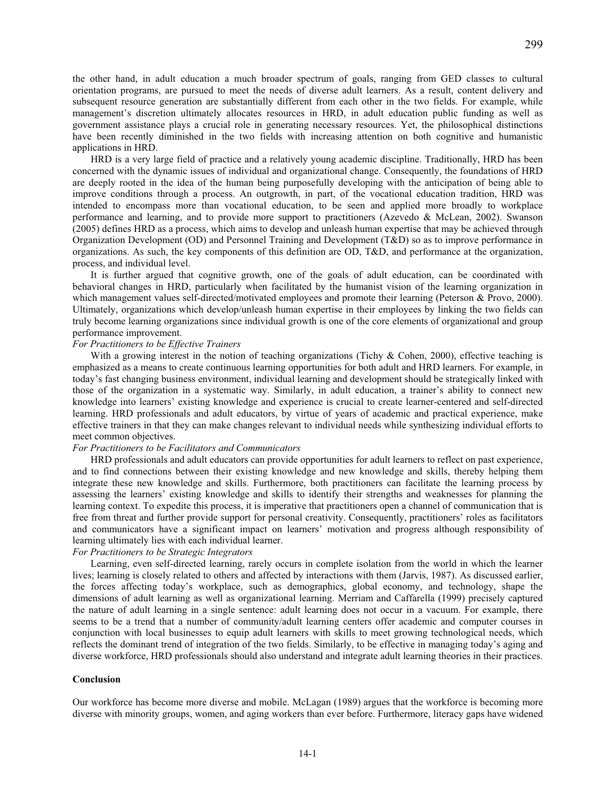the other hand, in adult education a much broader spectrum of goals, ranging from GED classes to cultural orientation programs, are pursued to meet the needs of diverse adult learners. As a result, content delivery and subsequent resource generation are substantially different from each other in the two fields. For example, while management's discretion ultimately allocates resources in HRD, in adult education public funding as well as government assistance plays a crucial role in generating necessary resources. Yet, the philosophical distinctions have been recently diminished in the two fields with increasing attention on both cognitive and humanistic applications in HRD.

299

HRD is a very large field of practice and a relatively young academic discipline. Traditionally, HRD has been concerned with the dynamic issues of individual and organizational change. Consequently, the foundations of HRD are deeply rooted in the idea of the human being purposefully developing with the anticipation of being able to improve conditions through a process. An outgrowth, in part, of the vocational education tradition, HRD was intended to encompass more than vocational education, to be seen and applied more broadly to workplace performance and learning, and to provide more support to practitioners (Azevedo & McLean, 2002). Swanson (2005) defines HRD as a process, which aims to develop and unleash human expertise that may be achieved through Organization Development (OD) and Personnel Training and Development (T&D) so as to improve performance in organizations. As such, the key components of this definition are OD, T&D, and performance at the organization, process, and individual level.

It is further argued that cognitive growth, one of the goals of adult education, can be coordinated with behavioral changes in HRD, particularly when facilitated by the humanist vision of the learning organization in which management values self-directed/motivated employees and promote their learning (Peterson & Provo, 2000). Ultimately, organizations which develop/unleash human expertise in their employees by linking the two fields can truly become learning organizations since individual growth is one of the core elements of organizational and group performance improvement.

#### *For Practitioners to be Effective Trainers*

With a growing interest in the notion of teaching organizations (Tichy & Cohen, 2000), effective teaching is emphasized as a means to create continuous learning opportunities for both adult and HRD learners. For example, in today's fast changing business environment, individual learning and development should be strategically linked with those of the organization in a systematic way. Similarly, in adult education, a trainer's ability to connect new knowledge into learners' existing knowledge and experience is crucial to create learner-centered and self-directed learning. HRD professionals and adult educators, by virtue of years of academic and practical experience, make effective trainers in that they can make changes relevant to individual needs while synthesizing individual efforts to meet common objectives.

# *For Practitioners to be Facilitators and Communicators*

HRD professionals and adult educators can provide opportunities for adult learners to reflect on past experience, and to find connections between their existing knowledge and new knowledge and skills, thereby helping them integrate these new knowledge and skills. Furthermore, both practitioners can facilitate the learning process by assessing the learners' existing knowledge and skills to identify their strengths and weaknesses for planning the learning context. To expedite this process, it is imperative that practitioners open a channel of communication that is free from threat and further provide support for personal creativity. Consequently, practitioners' roles as facilitators and communicators have a significant impact on learners' motivation and progress although responsibility of learning ultimately lies with each individual learner.

# *For Practitioners to be Strategic Integrators*

Learning, even self-directed learning, rarely occurs in complete isolation from the world in which the learner lives; learning is closely related to others and affected by interactions with them (Jarvis, 1987). As discussed earlier, the forces affecting today's workplace, such as demographics, global economy, and technology, shape the dimensions of adult learning as well as organizational learning. Merriam and Caffarella (1999) precisely captured the nature of adult learning in a single sentence: adult learning does not occur in a vacuum. For example, there seems to be a trend that a number of community/adult learning centers offer academic and computer courses in conjunction with local businesses to equip adult learners with skills to meet growing technological needs, which reflects the dominant trend of integration of the two fields. Similarly, to be effective in managing today's aging and diverse workforce, HRD professionals should also understand and integrate adult learning theories in their practices.

## **Conclusion**

Our workforce has become more diverse and mobile. McLagan (1989) argues that the workforce is becoming more diverse with minority groups, women, and aging workers than ever before. Furthermore, literacy gaps have widened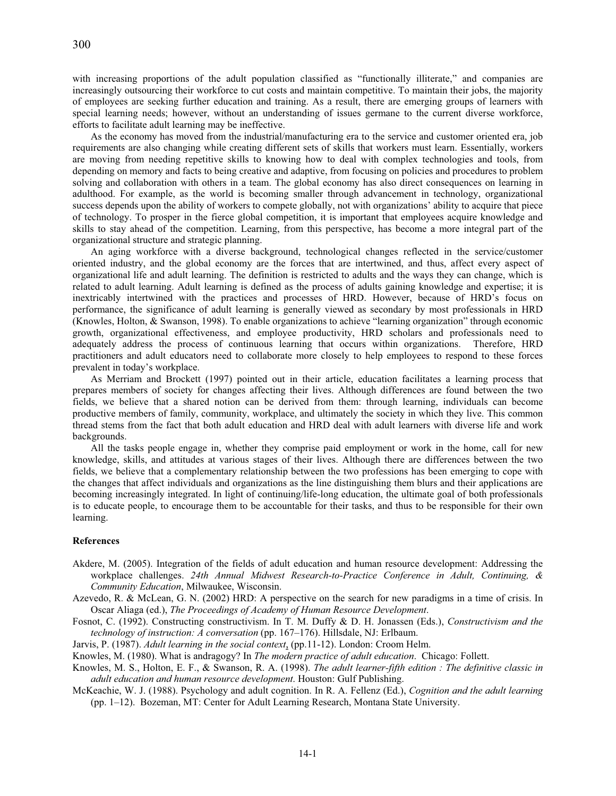with increasing proportions of the adult population classified as "functionally illiterate," and companies are increasingly outsourcing their workforce to cut costs and maintain competitive. To maintain their jobs, the majority of employees are seeking further education and training. As a result, there are emerging groups of learners with special learning needs; however, without an understanding of issues germane to the current diverse workforce, efforts to facilitate adult learning may be ineffective.

As the economy has moved from the industrial/manufacturing era to the service and customer oriented era, job requirements are also changing while creating different sets of skills that workers must learn. Essentially, workers are moving from needing repetitive skills to knowing how to deal with complex technologies and tools, from depending on memory and facts to being creative and adaptive, from focusing on policies and procedures to problem solving and collaboration with others in a team. The global economy has also direct consequences on learning in adulthood. For example, as the world is becoming smaller through advancement in technology, organizational success depends upon the ability of workers to compete globally, not with organizations' ability to acquire that piece of technology. To prosper in the fierce global competition, it is important that employees acquire knowledge and skills to stay ahead of the competition. Learning, from this perspective, has become a more integral part of the organizational structure and strategic planning.

An aging workforce with a diverse background, technological changes reflected in the service/customer oriented industry, and the global economy are the forces that are intertwined, and thus, affect every aspect of organizational life and adult learning. The definition is restricted to adults and the ways they can change, which is related to adult learning. Adult learning is defined as the process of adults gaining knowledge and expertise; it is inextricably intertwined with the practices and processes of HRD. However, because of HRD's focus on performance, the significance of adult learning is generally viewed as secondary by most professionals in HRD (Knowles, Holton, & Swanson, 1998). To enable organizations to achieve "learning organization" through economic growth, organizational effectiveness, and employee productivity, HRD scholars and professionals need to adequately address the process of continuous learning that occurs within organizations. Therefore, HRD practitioners and adult educators need to collaborate more closely to help employees to respond to these forces prevalent in today's workplace.

As Merriam and Brockett (1997) pointed out in their article, education facilitates a learning process that prepares members of society for changes affecting their lives. Although differences are found between the two fields, we believe that a shared notion can be derived from them: through learning, individuals can become productive members of family, community, workplace, and ultimately the society in which they live. This common thread stems from the fact that both adult education and HRD deal with adult learners with diverse life and work backgrounds.

All the tasks people engage in, whether they comprise paid employment or work in the home, call for new knowledge, skills, and attitudes at various stages of their lives. Although there are differences between the two fields, we believe that a complementary relationship between the two professions has been emerging to cope with the changes that affect individuals and organizations as the line distinguishing them blurs and their applications are becoming increasingly integrated. In light of continuing/life-long education, the ultimate goal of both professionals is to educate people, to encourage them to be accountable for their tasks, and thus to be responsible for their own learning.

## **References**

- Akdere, M. (2005). Integration of the fields of adult education and human resource development: Addressing the workplace challenges. *24th Annual Midwest Research-to-Practice Conference in Adult, Continuing, & Community Education*, Milwaukee, Wisconsin.
- Azevedo, R. & McLean, G. N. (2002) HRD: A perspective on the search for new paradigms in a time of crisis. In Oscar Aliaga (ed.), *The Proceedings of Academy of Human Resource Development*.
- Fosnot, C. (1992). Constructing constructivism. In T. M. Duffy & D. H. Jonassen (Eds.), *Constructivism and the technology of instruction: A conversation* (pp. 167–176). Hillsdale, NJ: Erlbaum.
- Jarvis, P. (1987). *Adult learning in the social context*, (pp.11-12). London: Croom Helm.
- Knowles, M. (1980). What is andragogy? In *The modern practice of adult education*. Chicago: Follett.
- Knowles, M. S., Holton, E. F., & Swanson, R. A. (1998). *The adult learner-fifth edition : The definitive classic in adult education and human resource development*. Houston: Gulf Publishing.
- McKeachie, W. J. (1988). Psychology and adult cognition. In R. A. Fellenz (Ed.), *Cognition and the adult learning* (pp. 1–12). Bozeman, MT: Center for Adult Learning Research, Montana State University.